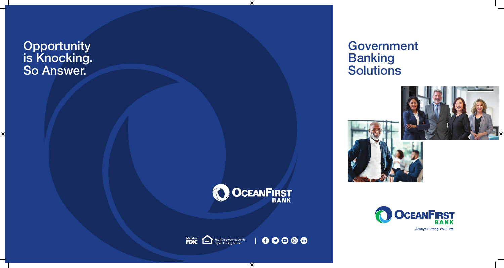# **Opportunity** is Knocking. So Answer.

# Government **Banking Solutions**

 $\bigoplus$ 









**Always Putting You First.** 

 $\bigoplus$ 

 $\bigoplus$ 



 $00000$